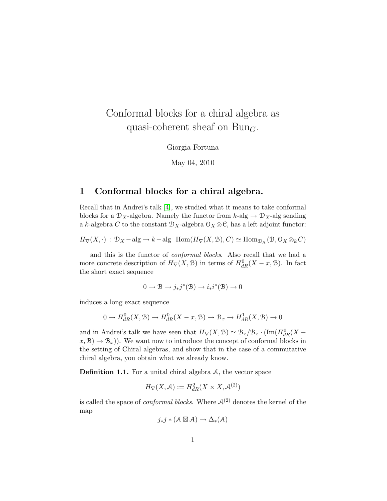# Conformal blocks for a chiral algebra as quasi-coherent sheaf on Bun<sub>G</sub>.

Giorgia Fortuna

May 04, 2010

### 1 Conformal blocks for a chiral algebra.

Recall that in Andrei's talk [\[4\]](#page-9-0), we studied what it means to take conformal blocks for a  $\mathcal{D}_X$ -algebra. Namely the functor from  $k$ -alg  $\rightarrow \mathcal{D}_X$ -alg sending a k-algebra C to the constant  $\mathcal{D}_X$ -algebra  $\mathcal{O}_X \otimes \mathcal{C}$ , has a left adjoint functor:

 $H_{\nabla}(X, \cdot) : \mathcal{D}_X - \text{alg} \to k-\text{alg Hom}(H_{\nabla}(X, \mathcal{B}), C) \simeq \text{Hom}_{\mathcal{D}_X}(\mathcal{B}, \mathcal{O}_X \otimes_k C)$ 

and this is the functor of conformal blocks. Also recall that we had a more concrete description of  $H_{\nabla}(X, \mathcal{B})$  in terms of  $H_{dR}^{0}(X-x, \mathcal{B})$ . In fact the short exact sequence

$$
0\to \mathcal{B} \to j_*j^*(\mathcal{B}) \to i_*i^*(\mathcal{B}) \to 0
$$

induces a long exact sequence

$$
0 \to H_{dR}^0(X, \mathcal{B}) \to H_{dR}^0(X - x, \mathcal{B}) \to \mathcal{B}_x \to H_{dR}^1(X, \mathcal{B}) \to 0
$$

and in Andrei's talk we have seen that  $H_{\nabla}(X, \mathcal{B}) \simeq \mathcal{B}_x/\mathcal{B}_x \cdot (\text{Im}(H_{dR}^0(X (x, \mathcal{B}) \to \mathcal{B}_x$ ). We want now to introduce the concept of conformal blocks in the setting of Chiral algebras, and show that in the case of a commutative chiral algebra, you obtain what we already know.

**Definition 1.1.** For a unital chiral algebra  $A$ , the vector space

$$
H_{\nabla}(X, \mathcal{A}) := H_{dR}^2(X \times X, \mathcal{A}^{(2)})
$$

is called the space of *conformal blocks*. Where  $A^{(2)}$  denotes the kernel of the map

$$
j_*j*(\mathcal{A}\boxtimes\mathcal{A})\to\Delta_*(\mathcal{A})
$$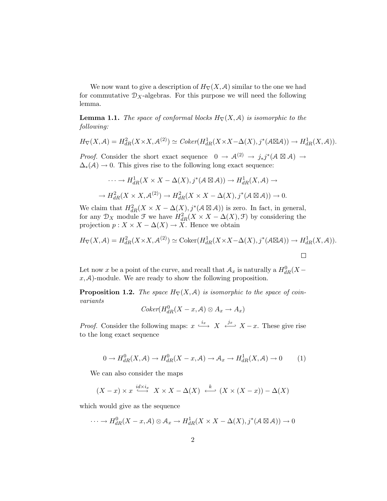We now want to give a description of  $H_{\nabla}(X, \mathcal{A})$  similar to the one we had for commutative  $\mathcal{D}_X$ -algebras. For this purpose we will need the following lemma.

**Lemma 1.1.** The space of conformal blocks  $H_{\nabla}(X, \mathcal{A})$  is isomorphic to the following:

$$
H_{\nabla}(X,\mathcal{A}) = H_{dR}^2(X \times X, \mathcal{A}^{(2)}) \simeq Coker(H_{dR}^1(X \times X - \Delta(X), j^*(\mathcal{A} \boxtimes \mathcal{A})) \to H_{dR}^1(X,\mathcal{A})).
$$

*Proof.* Consider the short exact sequence  $0 \to \mathcal{A}^{(2)} \to j_*j^*(\mathcal{A} \boxtimes \mathcal{A}) \to$  $\Delta_*(\mathcal{A}) \to 0$ . This gives rise to the following long exact sequence:

$$
\cdots \to H_{dR}^1(X \times X - \Delta(X), j^*(A \boxtimes A)) \to H_{dR}^1(X, A) \to
$$
  

$$
\to H_{dR}^2(X \times X, A^{(2)}) \to H_{dR}^2(X \times X - \Delta(X), j^*(A \boxtimes A)) \to 0.
$$

We claim that  $H^2_{dR}(X \times X - \Delta(X), j^*(A \boxtimes A))$  is zero. In fact, in general, for any  $\mathcal{D}_X$  module  $\mathcal{F}$  we have  $H^2_{dR}(X \times X - \Delta(X), \mathcal{F})$  by considering the projection  $p: X \times X - \Delta(X) \to X$ . Hence we obtain

$$
H_{\nabla}(X,\mathcal{A}) = H_{dR}^2(X \times X, \mathcal{A}^{(2)}) \simeq \text{Coker}(H_{dR}^1(X \times X - \Delta(X), j^*(\mathcal{A} \boxtimes \mathcal{A})) \to H_{dR}^1(X,\mathcal{A})).
$$

Let now x be a point of the curve, and recall that  $\mathcal{A}_x$  is naturally a  $H_{dR}^0(X - )$  $x, A$ -module. We are ready to show the following proposition.

<span id="page-1-1"></span>**Proposition 1.2.** The space  $H_{\nabla}(X, \mathcal{A})$  is isomorphic to the space of coinvariants

$$
Coker(H^0_{dR}(X-x,A)\otimes A_x\to A_x)
$$

*Proof.* Consider the following maps:  $x \stackrel{i_x}{\longleftrightarrow} X \stackrel{j_x}{\longleftarrow} X-x$ . These give rise to the long exact sequence

<span id="page-1-0"></span>
$$
0 \to H_{dR}^0(X, \mathcal{A}) \to H_{dR}^0(X - x, \mathcal{A}) \to \mathcal{A}_x \to H_{dR}^1(X, \mathcal{A}) \to 0 \tag{1}
$$

We can also consider the maps

$$
(X-x) \times x \xrightarrow{id \times i_x} X \times X - \Delta(X) \xrightarrow{k} (X \times (X-x)) - \Delta(X)
$$

which would give as the sequence

$$
\cdots \to H_{dR}^{0}(X-x,\mathcal{A})\otimes \mathcal{A}_{x} \to H_{dR}^{1}(X\times X-\Delta(X),j^{*}(\mathcal{A}\boxtimes\mathcal{A}))\to 0
$$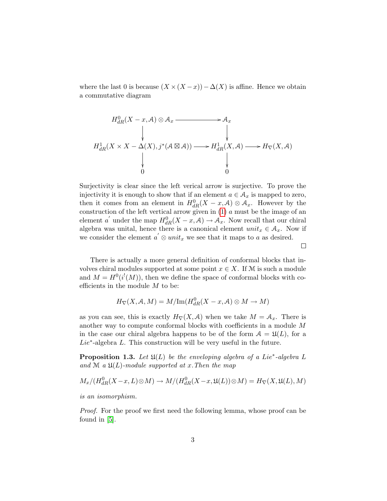where the last 0 is because  $(X \times (X - x)) - \Delta(X)$  is affine. Hence we obtain a commutative diagram

$$
H_{dR}^{0}(X - x, A) \otimes A_{x} \longrightarrow A_{x}
$$
\n
$$
\downarrow \qquad \qquad \downarrow
$$
\n
$$
H_{dR}^{1}(X \times X - \Delta(X), j^{*}(A \boxtimes A)) \longrightarrow H_{dR}^{1}(X, A) \longrightarrow H_{\nabla}(X, A)
$$
\n
$$
\downarrow \qquad \qquad \downarrow
$$
\n
$$
0
$$

Surjectivity is clear since the left verical arrow is surjective. To prove the injectivity it is enough to show that if an element  $a \in \mathcal{A}_x$  is mapped to zero, then it comes from an element in  $H_{dR}^{0}(X-x,\mathcal{A})\otimes \mathcal{A}_x$ . However by the construction of the left vertical arrow given in  $(1)$  a must be the image of an element a' under the map  $H_{dR}^{0}(X-x,\mathcal{A}) \to \mathcal{A}_{x}$ . Now recall that our chiral algebra was unital, hence there is a canonical element  $unit_x \in A_x$ . Now if we consider the element  $a' \otimes unit_x$  we see that it maps to a as desired.

There is actually a more general definition of conformal blocks that involves chiral modules supported at some point  $x \in X$ . If M is such a module and  $M = H^0(i^!(M))$ , then we define the space of conformal blocks with coefficients in the module  $M$  to be:

 $\Box$ 

$$
H_{\nabla}(X, \mathcal{A}, M) = M/\mathrm{Im}(H^0_{dR}(X-x, \mathcal{A}) \otimes M \to M)
$$

as you can see, this is exactly  $H_{\nabla}(X, \mathcal{A})$  when we take  $M = \mathcal{A}_x$ . There is another way to compute conformal blocks with coefficients in a module M in the case our chiral algebra happens to be of the form  $A = \mathfrak{U}(L)$ , for a  $Lie^*$ -algebra  $L$ . This construction will be very useful in the future.

**Proposition 1.3.** Let  $\mathfrak{U}(L)$  be the enveloping algebra of a Lie<sup>\*</sup>-algebra L and M a  $\mathfrak{U}(L)$ -module supported at x. Then the map

$$
M_x/(H^0_{dR}(X-x,L)\otimes M)\to M/(H^0_{dR}(X-x,\mathfrak{U}(L))\otimes M)=H_{\nabla}(X,\mathfrak{U}(L),M)
$$

is an isomorphism.

Proof. For the proof we first need the following lemma, whose proof can be found in [\[5\]](#page-9-1).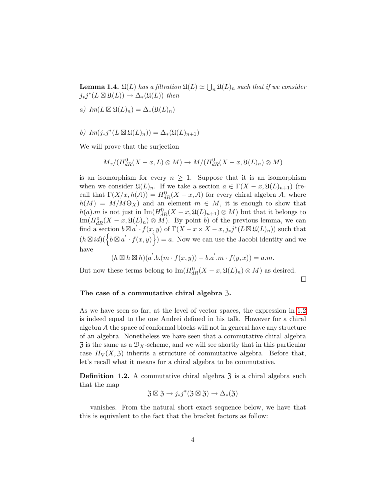**Lemma 1.4.**  $\mathfrak{U}(L)$  has a filtration  $\mathfrak{U}(L) \simeq \bigcup_n \mathfrak{U}(L)_n$  such that if we consider  $j_*j^*(L \boxtimes \mathfrak{U}(L)) \to \Delta_*(\mathfrak{U}(L))$  then

- a)  $Im(L \boxtimes \mathfrak{U}(L)_n) = \Delta_*(\mathfrak{U}(L)_n)$
- b)  $Im(j_*j^*(L \boxtimes \mathfrak{U}(L)_n)) = \Delta_*(\mathfrak{U}(L)_{n+1})$

We will prove that the surjection

$$
M_x/(H_{dR}^0(X-x,L)\otimes M)\to M/(H_{dR}^0(X-x,\mathfrak{U}(L)_n)\otimes M)
$$

is an isomorphism for every  $n \geq 1$ . Suppose that it is an isomorphism when we consider  $\mathfrak{U}(L)_n$ . If we take a section  $a \in \Gamma(X-x,\mathfrak{U}(L)_{n+1})$  (recall that  $\Gamma(X/x, h(\mathcal{A})) = H^0_{dR}(X-x, \mathcal{A})$  for every chiral algebra  $\mathcal{A}$ , where  $h(M) = M/M\Theta_X$  and an element  $m \in M$ , it is enough to show that  $h(a).m$  is not just in  $\text{Im}(H_{dR}^{0}(X-x,\mathfrak{U}(L)_{n+1})\otimes M)$  but that it belongs to  $\text{Im}(H_{dR}^{0}(X-x,\mathfrak{U}(L)_{n})\otimes M)$ . By point b) of the previous lemma, we can find a section  $b \boxtimes a' \cdot f(x, y)$  of  $\Gamma(X - x \times X - x, j_*j^*(L \boxtimes \mathfrak{U}(L)_n))$  such that  $(h \boxtimes id)(\{b \boxtimes a' \cdot f(x,y)\}) = a$ . Now we can use the Jacobi identity and we have

$$
(h \boxtimes h \boxtimes h)(a^{'}.b.(m \cdot f(x,y)) - b.a^{'}.m \cdot f(y,x)) = a.m.
$$

 $\Box$ 

But now these terms belong to  $\operatorname{Im}(H_{dR}^{0}(X-x,\mathfrak{U}(L)_{n})\otimes M)$  as desired.

#### The case of a commutative chiral algebra 3.

As we have seen so far, at the level of vector spaces, the expression in [1.2](#page-1-1) is indeed equal to the one Andrei defined in his talk. However for a chiral algebra A the space of conformal blocks will not in general have any structure of an algebra. Nonetheless we have seen that a commutative chiral algebra  $\mathfrak{Z}$  is the same as a  $\mathcal{D}_X$ -scheme, and we will see shortly that in this particular case  $H_{\nabla}(X, \mathfrak{Z})$  inherits a structure of commutative algebra. Before that, let's recall what it means for a chiral algebra to be commutative.

**Definition 1.2.** A commutative chiral algebra  $\overline{3}$  is a chiral algebra such that the map

$$
\mathfrak{Z}\boxtimes\mathfrak{Z}\to j_*j^*(\mathfrak{Z}\boxtimes\mathfrak{Z})\to\Delta_*(\mathfrak{Z})
$$

vanishes. From the natural short exact sequence below, we have that this is equivalent to the fact that the bracket factors as follow: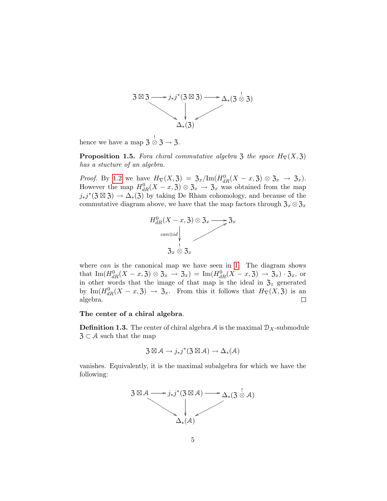$$
3 \boxtimes 3 \longrightarrow j_*j^*(3 \boxtimes 3) \longrightarrow \Delta_*(3 \overset{!}{\otimes} 3)
$$

hence we have a map  $\mathfrak{Z} \overset{!}{\otimes} \mathfrak{Z} \to \mathfrak{Z}.$ 

<span id="page-4-0"></span>**Proposition 1.5.** Fora chiral commutative algebra  $\mathfrak{Z}$  the space  $H_{\nabla}(X, \mathfrak{Z})$ has a stucture of an algebra.

*Proof.* By [1](#page-1-1).2 we have  $H_{\nabla}(X, \mathfrak{Z}) = \mathfrak{Z}_x / \text{Im}(H_{dR}^0(X - x, \mathfrak{Z}) \otimes \mathfrak{Z}_x \to \mathfrak{Z}_x).$ However the map  $H_{dR}^{0}(X-x,3) \otimes \mathfrak{Z}_x \to \mathfrak{Z}_x$  was obtained from the map  $j_*j^*(3 \boxtimes 3) \to \Delta_*(3)$  by taking De Rham cohomology, and because of the commutative diagram above, we have that the map factors through  $\mathfrak{Z}_x \otimes \mathfrak{Z}_x$ 



where  $can$  is the canonical map we have seen in [1.](#page-1-0) The diagram shows that  $\text{Im}(H_{dR}^{0}(X-x,3)\otimes3_{x} \to 3_{x}) = \text{Im}(H_{dR}^{0}(X-x,3) \to 3_{x}) \cdot 3_{x}$ , or in other words that the image of that map is the ideal in  $\mathfrak{Z}_z$  generated by  $\text{Im}(H_{dR}^0(X-x,3) \to 3_x$ . From this it follows that  $H_{\nabla}(X,3)$  is an algebra.  $\Box$ 

#### The center of a chiral algebra.

**Definition 1.3.** The center of chiral algebra A is the maximal  $\mathcal{D}_X$ -submodule  $\mathfrak{Z} \subset \mathcal{A}$  such that the map

$$
\mathfrak{Z} \boxtimes \mathcal{A} \longrightarrow j_*j^*(\mathfrak{Z} \boxtimes \mathcal{A}) \longrightarrow \Delta_*(\mathcal{A})
$$

vanishes. Equivalently, it is the maximal subalgebra for which we have the following:

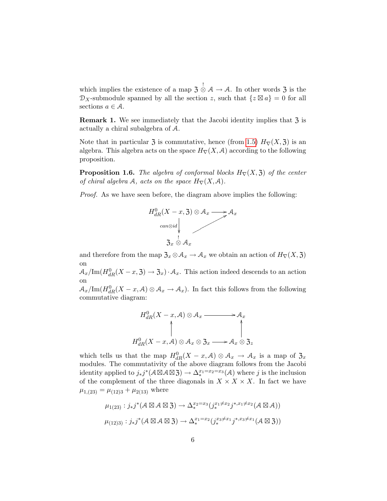which implies the existence of a map  $\frac{1}{3} \overset{!}{\otimes} A \rightarrow A$ . In other words  $\frac{1}{3}$  is the  $\mathcal{D}_X$ -submodule spanned by all the section z, such that  $\{z \boxtimes a\} = 0$  for all sections  $a \in \mathcal{A}$ .

**Remark 1.** We see immediately that the Jacobi identity implies that  $\overline{3}$  is actually a chiral subalgebra of A.

Note that in particular  $\mathfrak{Z}$  is commutative, hence (from [1.5\)](#page-4-0)  $H_{\nabla}(X, \mathfrak{Z})$  is an algebra. This algebra acts on the space  $H_{\nabla}(X, \mathcal{A})$  according to the following proposition.

**Proposition 1.6.** The algebra of conformal blocks  $H_{\nabla}(X, \mathfrak{Z})$  of the center of chiral algebra A, acts on the space  $H_{\nabla}(X, \mathcal{A})$ .

Proof. As we have seen before, the diagram above implies the following:



and therefore from the map  $\mathfrak{Z}_x \otimes \mathcal{A}_x \to \mathcal{A}_x$  we obtain an action of  $H_{\nabla}(X, \mathfrak{Z})$ on

 $\mathcal{A}_x/\mathrm{Im}(H^0_{dR}(X-x,3) \to 3_x) \cdot \mathcal{A}_x$ . This action indeed descends to an action on

 $A_x/\text{Im}(H_{dR}^0(X-x,\mathcal{A})\otimes\mathcal{A}_x\to\mathcal{A}_x)$ . In fact this follows from the following commutative diagram:

$$
H_{dR}^{0}(X-x, A) \otimes A_{x} \longrightarrow A_{x}
$$
  
\n
$$
\uparrow \qquad \qquad \uparrow
$$
  
\n
$$
H_{dR}^{0}(X-x, A) \otimes A_{x} \otimes \mathfrak{Z}_{x} \longrightarrow A_{x} \otimes \mathfrak{Z}_{z}
$$

which tells us that the map  $H_{dR}^{0}(X-x,\mathcal{A})\otimes \mathcal{A}_{x} \to \mathcal{A}_{x}$  is a map of  $\mathfrak{Z}_{x}$ modules. The commutativity of the above diagram follows from the Jacobi identity applied to  $j_*j^*(A \boxtimes A \boxtimes 3) \to \Delta_*^{x_1=x_2=x_3}(\mathcal{A})$  where j is the inclusion of the complement of the three diagonals in  $X \times X \times X$ . In fact we have  $\mu_{1,(23)} = \mu_{(12)3} + \mu_{2(13)}$  where

$$
\mu_{1(23)} : j_*j^*(A \boxtimes A \boxtimes 3) \to \Delta_*^{x_2=x_3}(j_*^{x_1 \neq x_2} j^{*,x_1 \neq x_2}(A \boxtimes A))
$$
  

$$
\mu_{(12)3)} : j_*j^*(A \boxtimes A \boxtimes 3) \to \Delta_*^{x_1=x_2}(j_*^{x_3 \neq x_1} j^{*,x_3 \neq x_1}(A \boxtimes 3))
$$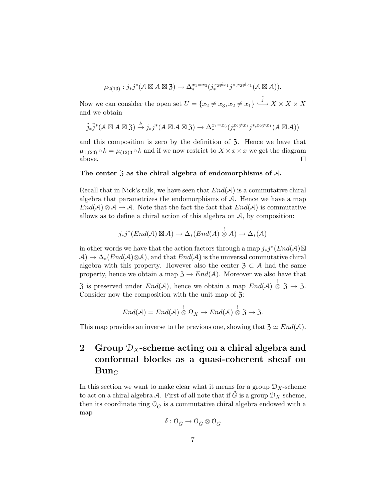$$
\mu_{2(13)} : j_*j^*(A \boxtimes A \boxtimes 3) \to \Delta_*^{x_1=x_3}(j_*^{x_2 \neq x_1} j^{*,x_2 \neq x_1}(A \boxtimes A)).
$$

Now we can consider the open set  $U = \{x_2 \neq x_3, x_2 \neq x_1\} \stackrel{\tilde{j}}{\longrightarrow} X \times X \times X$ and we obtain

$$
\tilde{j}_{*}\tilde{j}^{*}(A\boxtimes A\boxtimes 3) \xrightarrow{k} j_{*}j^{*}(A\boxtimes A\boxtimes 3) \to \Delta_{*}^{x_{1}=x_{3}}(j_{*}^{x_{2}\neq x_{1}}j^{*,x_{2}\neq x_{1}}(A\boxtimes A))
$$

and this composition is zero by the definition of  $3$ . Hence we have that  $\mu_{1,(23)} \circ k = \mu_{(12)3} \circ k$  and if we now restrict to  $X \times x \times x$  we get the diagram above.  $\Box$ 

#### The center  $\mathfrak{Z}$  as the chiral algebra of endomorphisms of  $\mathcal{A}$ .

Recall that in Nick's talk, we have seen that  $End(A)$  is a commutative chiral algebra that parametrizes the endomorphisms of A. Hence we have a map  $End(A) \otimes A \to A$ . Note that the fact that  $End(A)$  is commutative allows as to define a chiral action of this algebra on  $A$ , by composition:

$$
j_*j^*(End(\mathcal{A})\boxtimes\mathcal{A})\to\Delta_*(End(\mathcal{A})\overset{!}{\otimes}\mathcal{A})\to\Delta_*(\mathcal{A})
$$

in other words we have that the action factors through a map  $j_*j^*(End(\mathcal{A})\boxtimes$  $\mathcal{A} \rightarrow \Delta_*(End(\mathcal{A}) \otimes \mathcal{A})$ , and that  $End(\mathcal{A})$  is the universal commutative chiral algebra with this property. However also the center  $\mathfrak{Z} \subset \mathcal{A}$  had the same property, hence we obtain a map  $\mathfrak{Z} \to End(\mathcal{A})$ . Moreover we also have that 3 is preserved under  $End(A)$ , hence we obtain a map  $End(A) \overset{!}{\otimes} 3 \rightarrow 3$ . Consider now the composition with the unit map of  $\mathfrak{Z}$ :

$$
End(\mathcal{A})=End(\mathcal{A})\overset{!}{\otimes}\Omega_X\to End(\mathcal{A})\overset{!}{\otimes}\mathfrak{Z}\to\mathfrak{Z}.
$$

This map provides an inverse to the previous one, showing that  $\mathfrak{Z} \simeq End(A)$ .

## 2 Group  $\mathcal{D}_X$ -scheme acting on a chiral algebra and conformal blocks as a quasi-coherent sheaf on  $Bun_G$

In this section we want to make clear what it means for a group  $\mathcal{D}_X$ -scheme to act on a chiral algebra A. First of all note that if G is a group  $\mathcal{D}_X$ -scheme, then its coordinate ring  $\mathcal{O}_{\tilde{G}}$  is a commutative chiral algebra endowed with a map

$$
\delta: \mathbb{O}_{\tilde{G}} \to \mathbb{O}_{\tilde{G}} \otimes \mathbb{O}_{\tilde{G}}
$$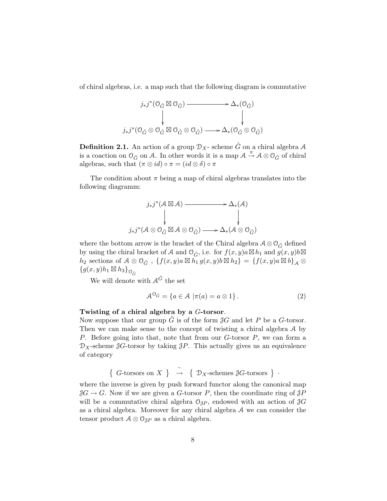of chiral algebras, i.e. a map such that the following diagram is commutative



**Definition 2.1.** An action of a group  $\mathcal{D}_X$ - scheme  $\tilde{G}$  on a chiral algebra A is a coaction on  $\mathcal{O}_{\tilde{G}}$  on A. In other words it is a map  $\mathcal{A} \stackrel{\pi}{\rightarrow} \mathcal{A} \otimes \mathcal{O}_{\tilde{G}}$  of chiral algebras, such that  $(\pi \otimes id) \circ \pi = (id \otimes \delta) \circ \pi$ 

The condition about  $\pi$  being a map of chiral algebras translates into the following diagramm:

$$
j_*j^*(A \boxtimes A) \longrightarrow \Delta_*(A)
$$
  
\n
$$
j_*j^*(A \otimes O_{\tilde{G}} \boxtimes A \otimes O_{\tilde{G}}) \longrightarrow \Delta_*(A \otimes O_{\tilde{G}})
$$

where the bottom arrow is the bracket of the Chiral algebra  $\mathcal{A} \otimes \mathcal{O}_{\tilde{G}}$  defined by using the chiral bracket of A and  $\mathcal{O}_{\tilde{G}}$ , i.e. for  $f(x, y)a \boxtimes h_1$  and  $g(x, y)b \boxtimes$  $h_2$  sections of  $A \otimes \mathcal{O}_{\tilde{G}}$ ,  $\{f(x,y)a \boxtimes h_1\ g(x,y)b \boxtimes h_2\} = \{f(x,y)a \boxtimes b\}_{\mathcal{A}} \otimes$  ${g(x,y)h_1 \boxtimes h_3}_{\mathcal{O}_{\tilde{G}}}$ 

We will denote with  $A^{\tilde{G}}$  the set

<span id="page-7-0"></span>
$$
\mathcal{A}^{\mathcal{O}_{\tilde{G}}} = \{ a \in \mathcal{A} \mid \pi(a) = a \otimes 1 \}.
$$
 (2)

#### Twisting of a chiral algebra by a G-torsor.

Now suppose that our group  $\tilde{G}$  is of the form  $\partial G$  and let P be a G-torsor. Then we can make sense to the concept of twisting a chiral algebra A by P. Before going into that, note that from our G-torsor P, we can form a  $\mathcal{D}_X$ -scheme  $\partial G$ -torsor by taking  $\partial P$ . This actually gives us an equivalence of category

$$
\{G\text{-torsors on } X\} \rightarrow \{D_X\text{-schemes }\mathcal{J}G\text{-torsors }\}.
$$

where the inverse is given by push forward functor along the canonical map  $\mathcal{J}G \to G$ . Now if we are given a G-torsor P, then the coordinate ring of  $\mathcal{J}P$ will be a commutative chiral algebra  $\mathcal{O}_{3P}$ , endowed with an action of  $\mathcal{J}G$ as a chiral algebra. Moreover for any chiral algebra A we can consider the tensor product  $A \otimes \mathcal{O}_{3P}$  as a chiral algebra.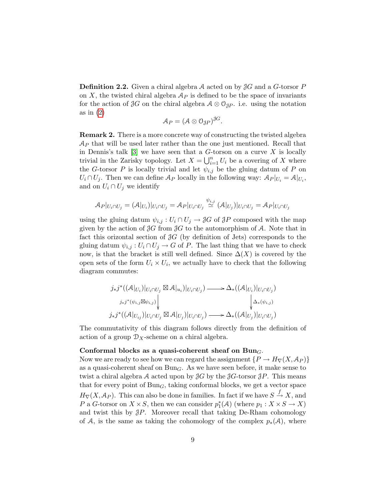**Definition 2.2.** Given a chiral algebra A acted on by  $\mathcal{J}G$  and a G-torsor P on X, the twisted chiral algebra  $\mathcal{A}_P$  is defined to be the space of invariants for the action of  $\mathcal{J}G$  on the chiral algebra  $\mathcal{A} \otimes \mathcal{O}_{\mathcal{J}P}$ . i.e. using the notation as in  $(2)$ 

$$
\mathcal{A}_P = (\mathcal{A} \otimes \mathcal{O}_{\mathcal{J}P})^{\mathcal{J}G}.
$$

Remark 2. There is a more concrete way of constructing the twisted algebra  $\mathcal{A}_P$  that will be used later rather than the one just mentioned. Recall that in Dennis's talk [\[3\]](#page-9-2) we have seen that a  $G$ -torson on a curve X is locally trivial in the Zarisky topology. Let  $X = \bigcup_{i=1}^n U_i$  be a covering of X where the G-torsor P is locally trivial and let  $\psi_{i,j}$  be the gluing datum of P on  $U_i \cap U_j$ . Then we can define  $\mathcal{A}_P$  locally in the following way:  $\mathcal{A}_P|_{U_i} = \mathcal{A}|_{U_i}$ , and on  $U_i \cap U_j$  we identify

$$
\mathcal{A}_P|_{U_i \cap U_j} = (\mathcal{A}|_{U_i})|_{U_i \cap U_j} = \mathcal{A}_P|_{U_i \cap U_j} \stackrel{\psi_{i,j}}{\simeq} (\mathcal{A}|_{U_j})|_{U_i \cap U_j} = \mathcal{A}_P|_{U_i \cap U_j}
$$

using the gluing datum  $\psi_{i,j}: U_i \cap U_j \to \mathcal{J}G$  of  $\mathcal{J}P$  composed with the map given by the action of  $\mathcal{J}G$  from  $\mathcal{J}G$  to the automorphism of A. Note that in fact this orizontal section of  $\mathcal{J}G$  (by definition of Jets) corresponds to the gluing datum  $\psi_{i,j}: U_i \cap U_j \to G$  of P. The last thing that we have to check now, is that the bracket is still well defined. Since  $\Delta(X)$  is covered by the open sets of the form  $U_i \times U_i$ , we actually have to check that the following diagram commutes:

$$
j_*j^*((\mathcal{A}|_{U_i})|_{U_i \cap U_j} \boxtimes \mathcal{A}|_{u_i})|_{U_i \cap U_j}) \longrightarrow \Delta_*((\mathcal{A}|_{U_i})|_{U_i \cap U_j})
$$
  

$$
j_*j^*(\psi_{i,j} \boxtimes \psi_{i,j}) \Big\downarrow \qquad \qquad \downarrow \Delta_*(\psi_{i,j})
$$
  

$$
j_*j^*((\mathcal{A}|_{U_{ij}})|_{U_i \cap U_j} \boxtimes \mathcal{A}|_{U_j})|_{U_i \cap U_j}) \longrightarrow \Delta_*((\mathcal{A}|_{U_j})|_{U_i \cap U_j})
$$

The commutativity of this diagram follows directly from the definition of action of a group  $\mathcal{D}_X$ -scheme on a chiral algebra.

#### Conformal blocks as a quasi-coherent sheaf on  $Bun_G$ .

Now we are ready to see how we can regard the assignment  $\{P \to H_{\nabla}(X, \mathcal{A}_P)\}\$ as a quasi-coherent sheaf on  $Bun<sub>G</sub>$ . As we have seen before, it make sense to twist a chiral algebra A acted upon by  $\mathcal{J}G$  by the  $\mathcal{J}G$ -torsor  $\mathcal{J}P$ . This means that for every point of  $Bun<sub>G</sub>$ , taking conformal blocks, we get a vector space  $H_{\nabla}(X, \mathcal{A}_P)$ . This can also be done in families. In fact if we have  $S \stackrel{f}{\to} X$ , and P a G-torsor on  $X \times S$ , then we can consider  $p_1^*(A)$  (where  $p_1 : X \times S \to X$ ) and twist this by  $\mathcal{J}P$ . Moreover recall that taking De-Rham cohomology of A, is the same as taking the cohomology of the complex  $p_*(\mathcal{A})$ , where